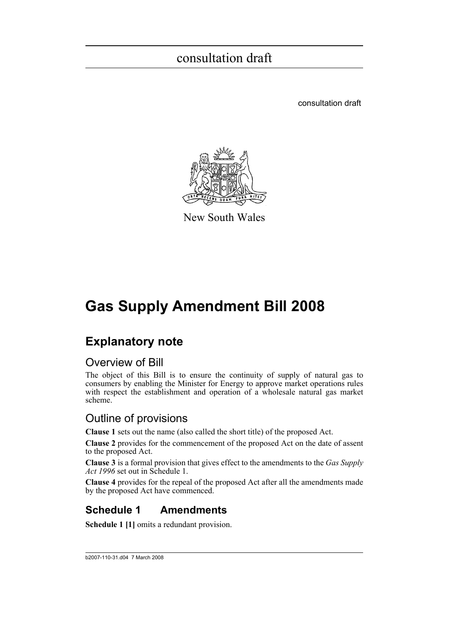consultation draft



New South Wales

# **Gas Supply Amendment Bill 2008**

# **Explanatory note**

# Overview of Bill

The object of this Bill is to ensure the continuity of supply of natural gas to consumers by enabling the Minister for Energy to approve market operations rules with respect the establishment and operation of a wholesale natural gas market scheme.

# Outline of provisions

**Clause 1** sets out the name (also called the short title) of the proposed Act.

**Clause 2** provides for the commencement of the proposed Act on the date of assent to the proposed Act.

**Clause 3** is a formal provision that gives effect to the amendments to the *Gas Supply Act 1996* set out in Schedule 1.

**Clause 4** provides for the repeal of the proposed Act after all the amendments made by the proposed Act have commenced.

# **Schedule 1 Amendments**

**Schedule 1 [1]** omits a redundant provision.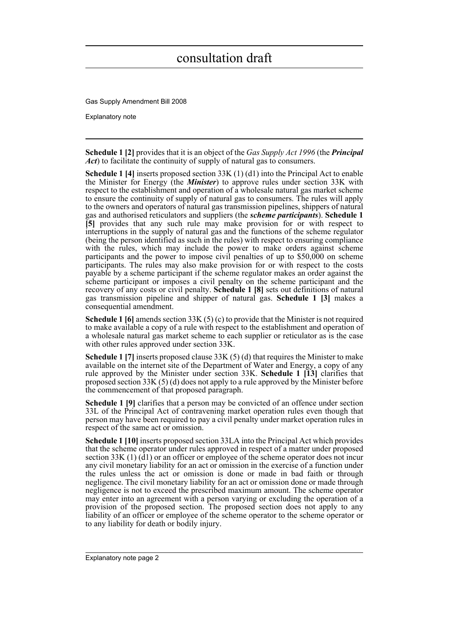Gas Supply Amendment Bill 2008

Explanatory note

**Schedule 1 [2]** provides that it is an object of the *Gas Supply Act 1996* (the *Principal Act*) to facilitate the continuity of supply of natural gas to consumers.

**Schedule 1 [4]** inserts proposed section 33K (1) (d1) into the Principal Act to enable the Minister for Energy (the *Minister*) to approve rules under section 33K with respect to the establishment and operation of a wholesale natural gas market scheme to ensure the continuity of supply of natural gas to consumers. The rules will apply to the owners and operators of natural gas transmission pipelines, shippers of natural gas and authorised reticulators and suppliers (the *scheme participants*). **Schedule 1 [5]** provides that any such rule may make provision for or with respect to interruptions in the supply of natural gas and the functions of the scheme regulator (being the person identified as such in the rules) with respect to ensuring compliance with the rules, which may include the power to make orders against scheme participants and the power to impose civil penalties of up to \$50,000 on scheme participants. The rules may also make provision for or with respect to the costs payable by a scheme participant if the scheme regulator makes an order against the scheme participant or imposes a civil penalty on the scheme participant and the recovery of any costs or civil penalty. **Schedule 1 [8]** sets out definitions of natural gas transmission pipeline and shipper of natural gas. **Schedule 1 [3]** makes a consequential amendment.

**Schedule 1 [6]** amends section 33K (5) (c) to provide that the Minister is not required to make available a copy of a rule with respect to the establishment and operation of a wholesale natural gas market scheme to each supplier or reticulator as is the case with other rules approved under section 33K.

**Schedule 1 [7]** inserts proposed clause 33K (5) (d) that requires the Minister to make available on the internet site of the Department of Water and Energy, a copy of any rule approved by the Minister under section 33K. **Schedule 1 [13]** clarifies that proposed section  $33K(5)(d)$  does not apply to a rule approved by the Minister before the commencement of that proposed paragraph.

**Schedule 1 [9]** clarifies that a person may be convicted of an offence under section 33L of the Principal Act of contravening market operation rules even though that person may have been required to pay a civil penalty under market operation rules in respect of the same act or omission.

**Schedule 1 [10]** inserts proposed section 33LA into the Principal Act which provides that the scheme operator under rules approved in respect of a matter under proposed section  $33K(1)(d1)$  or an officer or employee of the scheme operator does not incur any civil monetary liability for an act or omission in the exercise of a function under the rules unless the act or omission is done or made in bad faith or through negligence. The civil monetary liability for an act or omission done or made through negligence is not to exceed the prescribed maximum amount. The scheme operator may enter into an agreement with a person varying or excluding the operation of a provision of the proposed section. The proposed section does not apply to any liability of an officer or employee of the scheme operator to the scheme operator or to any liability for death or bodily injury.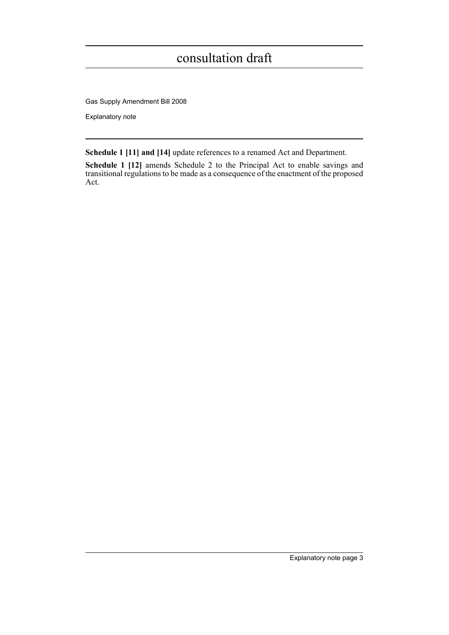Gas Supply Amendment Bill 2008

Explanatory note

**Schedule 1 [11] and [14]** update references to a renamed Act and Department.

**Schedule 1 [12]** amends Schedule 2 to the Principal Act to enable savings and transitional regulations to be made as a consequence of the enactment of the proposed Act.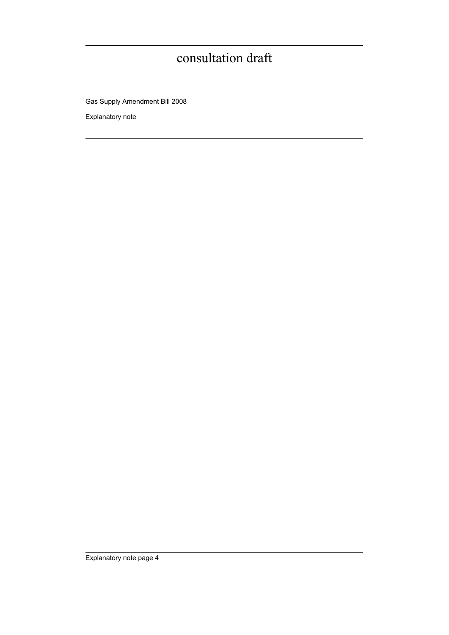Gas Supply Amendment Bill 2008

Explanatory note

Explanatory note page 4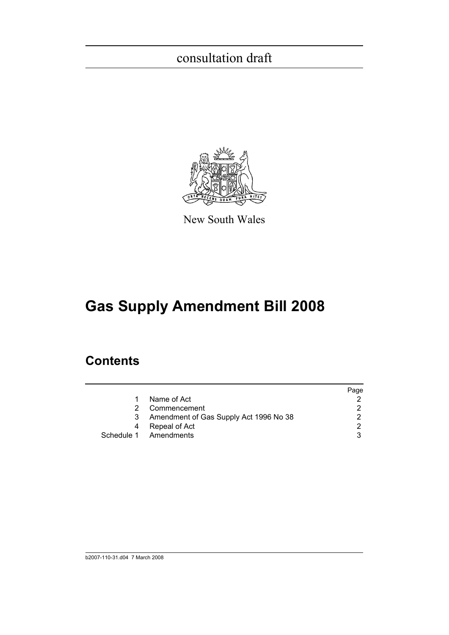

New South Wales

# **Gas Supply Amendment Bill 2008**

# **Contents**

|                                        | Page |
|----------------------------------------|------|
| Name of Act                            |      |
| Commencement                           |      |
| Amendment of Gas Supply Act 1996 No 38 |      |
| Repeal of Act                          | າ    |
| Schedule 1 Amendments                  |      |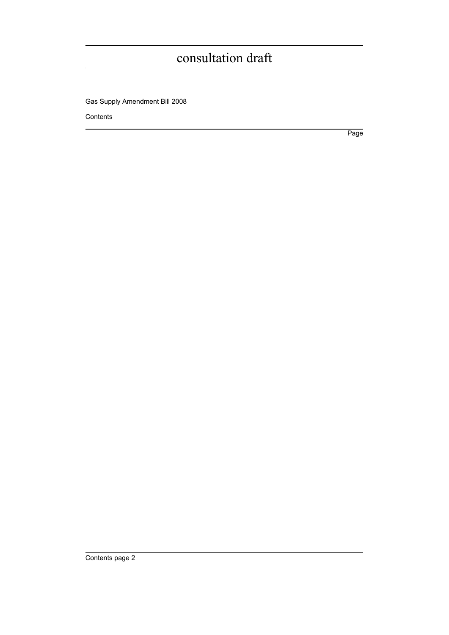Gas Supply Amendment Bill 2008

Contents

Page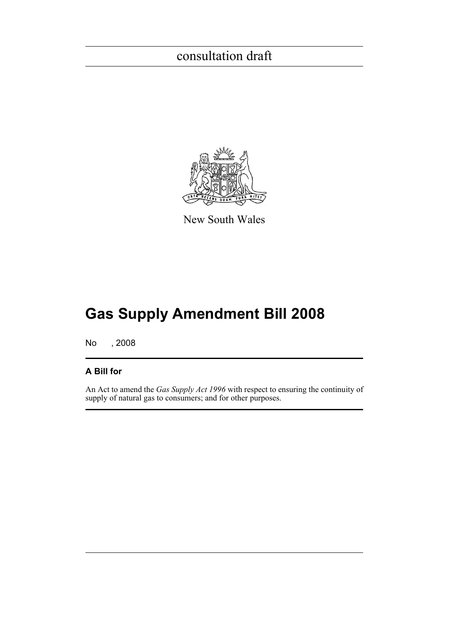

New South Wales

# **Gas Supply Amendment Bill 2008**

No , 2008

## **A Bill for**

An Act to amend the *Gas Supply Act 1996* with respect to ensuring the continuity of supply of natural gas to consumers; and for other purposes.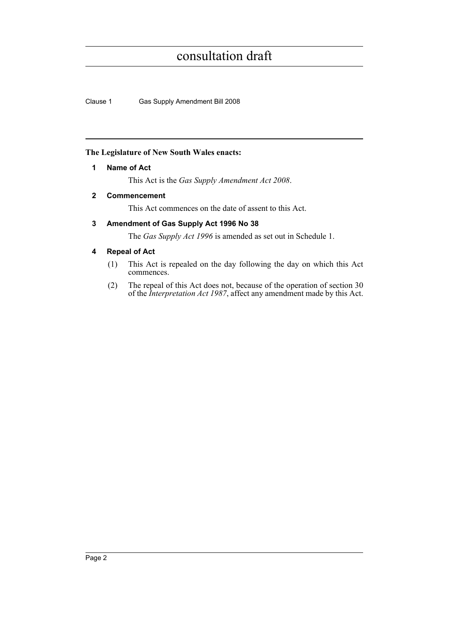Clause 1 Gas Supply Amendment Bill 2008

## <span id="page-7-0"></span>**The Legislature of New South Wales enacts:**

## **1 Name of Act**

This Act is the *Gas Supply Amendment Act 2008*.

## <span id="page-7-1"></span>**2 Commencement**

This Act commences on the date of assent to this Act.

## <span id="page-7-2"></span>**3 Amendment of Gas Supply Act 1996 No 38**

The *Gas Supply Act 1996* is amended as set out in Schedule 1.

## <span id="page-7-3"></span>**4 Repeal of Act**

- (1) This Act is repealed on the day following the day on which this Act commences.
- (2) The repeal of this Act does not, because of the operation of section 30 of the *Interpretation Act 1987*, affect any amendment made by this Act.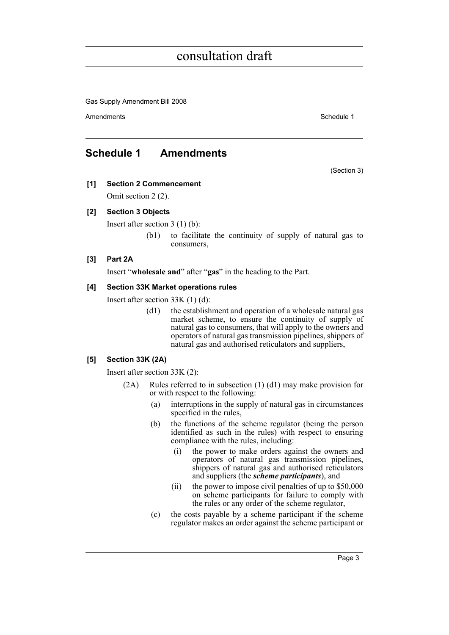Gas Supply Amendment Bill 2008

Amendments **Amendments** Schedule 1

## <span id="page-8-0"></span>**Schedule 1 Amendments**

(Section 3)

## **[1] Section 2 Commencement**

Omit section 2 (2).

## **[2] Section 3 Objects**

Insert after section 3 (1) (b):

(b1) to facilitate the continuity of supply of natural gas to consumers,

### **[3] Part 2A**

Insert "**wholesale and**" after "**gas**" in the heading to the Part.

#### **[4] Section 33K Market operations rules**

Insert after section 33K (1) (d):

(d1) the establishment and operation of a wholesale natural gas market scheme, to ensure the continuity of supply of natural gas to consumers, that will apply to the owners and operators of natural gas transmission pipelines, shippers of natural gas and authorised reticulators and suppliers,

### **[5] Section 33K (2A)**

Insert after section 33K (2):

- (2A) Rules referred to in subsection (1) (d1) may make provision for or with respect to the following:
	- (a) interruptions in the supply of natural gas in circumstances specified in the rules,
	- (b) the functions of the scheme regulator (being the person identified as such in the rules) with respect to ensuring compliance with the rules, including:
		- (i) the power to make orders against the owners and operators of natural gas transmission pipelines, shippers of natural gas and authorised reticulators and suppliers (the *scheme participants*), and
		- (ii) the power to impose civil penalties of up to \$50,000 on scheme participants for failure to comply with the rules or any order of the scheme regulator,
	- (c) the costs payable by a scheme participant if the scheme regulator makes an order against the scheme participant or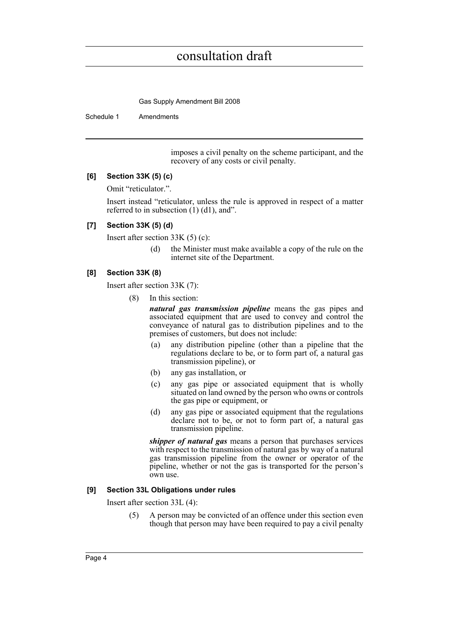Gas Supply Amendment Bill 2008

Schedule 1 Amendments

imposes a civil penalty on the scheme participant, and the recovery of any costs or civil penalty.

#### **[6] Section 33K (5) (c)**

Omit "reticulator"

Insert instead "reticulator, unless the rule is approved in respect of a matter referred to in subsection  $(1)$   $(d1)$ , and".

#### **[7] Section 33K (5) (d)**

Insert after section 33K (5) (c):

(d) the Minister must make available a copy of the rule on the internet site of the Department.

#### **[8] Section 33K (8)**

Insert after section 33K (7):

(8) In this section:

*natural gas transmission pipeline* means the gas pipes and associated equipment that are used to convey and control the conveyance of natural gas to distribution pipelines and to the premises of customers, but does not include:

- (a) any distribution pipeline (other than a pipeline that the regulations declare to be, or to form part of, a natural gas transmission pipeline), or
- (b) any gas installation, or
- (c) any gas pipe or associated equipment that is wholly situated on land owned by the person who owns or controls the gas pipe or equipment, or
- (d) any gas pipe or associated equipment that the regulations declare not to be, or not to form part of, a natural gas transmission pipeline.

*shipper of natural gas* means a person that purchases services with respect to the transmission of natural gas by way of a natural gas transmission pipeline from the owner or operator of the pipeline, whether or not the gas is transported for the person's own use.

#### **[9] Section 33L Obligations under rules**

Insert after section 33L (4):

(5) A person may be convicted of an offence under this section even though that person may have been required to pay a civil penalty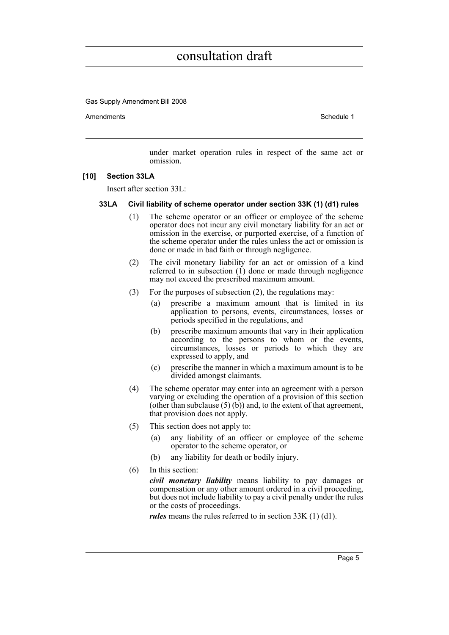Gas Supply Amendment Bill 2008

Amendments **Amendments** Schedule 1

under market operation rules in respect of the same act or omission.

#### **[10] Section 33LA**

Insert after section 33L:

#### **33LA Civil liability of scheme operator under section 33K (1) (d1) rules**

- (1) The scheme operator or an officer or employee of the scheme operator does not incur any civil monetary liability for an act or omission in the exercise, or purported exercise, of a function of the scheme operator under the rules unless the act or omission is done or made in bad faith or through negligence.
- (2) The civil monetary liability for an act or omission of a kind referred to in subsection  $(1)$  done or made through negligence may not exceed the prescribed maximum amount.
- (3) For the purposes of subsection (2), the regulations may:
	- (a) prescribe a maximum amount that is limited in its application to persons, events, circumstances, losses or periods specified in the regulations, and
	- (b) prescribe maximum amounts that vary in their application according to the persons to whom or the events, circumstances, losses or periods to which they are expressed to apply, and
	- (c) prescribe the manner in which a maximum amount is to be divided amongst claimants.
- (4) The scheme operator may enter into an agreement with a person varying or excluding the operation of a provision of this section (other than subclause  $(5)(b)$ ) and, to the extent of that agreement, that provision does not apply.
- (5) This section does not apply to:
	- (a) any liability of an officer or employee of the scheme operator to the scheme operator, or
	- (b) any liability for death or bodily injury.
- (6) In this section:

*civil monetary liability* means liability to pay damages or compensation or any other amount ordered in a civil proceeding, but does not include liability to pay a civil penalty under the rules or the costs of proceedings.

*rules* means the rules referred to in section 33K (1) (d1).